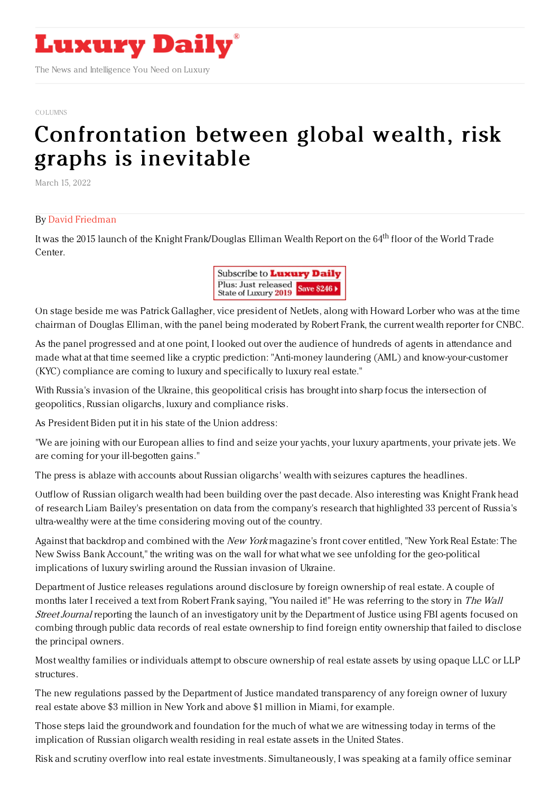

The News and Intelligence You Need on Luxury

## [COLUMNS](https://www.luxurydaily.com/category/opinion/columns/)

## [Confrontation](https://www.luxurydaily.com/?p=346935) between global wealth, risk graphs is inevitable

March 15, 2022

## By David [Friedman](https://www.mywealthq.com/)

It was the 2015 launch of the Knight Frank/Douglas Elliman Wealth Report on the 64<sup>th</sup> floor of the World Trade Center.



On stage beside me was Patrick Gallagher, vice president of NetJets, along with Howard Lorber who was at the time chairman of Douglas Elliman, with the panel being moderated by Robert Frank, the current wealth reporter for CNBC.

As the panel progressed and at one point, I looked out over the audience of hundreds of agents in attendance and made what at that time seemed like a cryptic prediction: "Anti-money laundering (AML) and know-your-customer (KYC) compliance are coming to luxury and specifically to luxury real estate."

With Russia's invasion of the Ukraine, this geopolitical crisis has brought into sharp focus the intersection of geopolitics, Russian oligarchs, luxury and compliance risks.

As President Biden put it in his state of the Union address:

"We are joining with our European allies to find and seize your yachts, your luxury apartments, your private jets. We are coming for your ill-begotten gains."

The press is ablaze with accounts about Russian oligarchs' wealth with seizures captures the headlines.

Outflow of Russian oligarch wealth had been building over the past decade. Also interesting was Knight Frank head of research Liam Bailey's presentation on data from the company's research that highlighted 33 percent of Russia's ultra-wealthy were at the time considering moving out of the country.

Against that backdrop and combined with the New York magazine's front cover entitled, "New York Real Estate: The New Swiss Bank Account," the writing was on the wall for what what we see unfolding for the geo-political implications of luxury swirling around the Russian invasion of Ukraine.

Department of Justice releases regulations around disclosure by foreign ownership of real estate. A couple of months later I received a text from Robert Frank saying, "You nailed it!" He was referring to the story in The Wall Street Journal reporting the launch of an investigatory unit by the Department of Justice using FBI agents focused on combing through public data records of real estate ownership to find foreign entity ownership that failed to disclose the principal owners.

Most wealthy families or individuals attempt to obscure ownership of real estate assets by using opaque LLC or LLP structures.

The new regulations passed by the Department of Justice mandated transparency of any foreign owner of luxury real estate above \$3 million in New York and above \$1 million in Miami, for example.

Those steps laid the groundwork and foundation for the much of what we are witnessing today in terms of the implication of Russian oligarch wealth residing in real estate assets in the United States.

Risk and scrutiny overflow into real estate investments. Simultaneously, I was speaking at a family office seminar